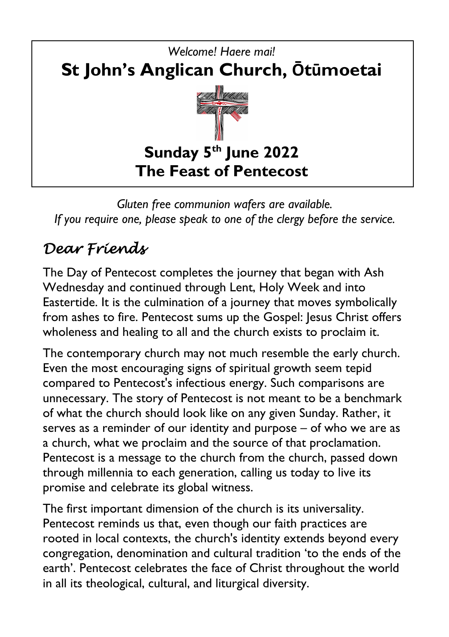

*Gluten free communion wafers are available. If you require one, please speak to one of the clergy before the service.*

# *Dear Friends*

The Day of Pentecost completes the journey that began with Ash Wednesday and continued through Lent, Holy Week and into Eastertide. It is the culmination of a journey that moves symbolically from ashes to fire. Pentecost sums up the Gospel: Jesus Christ offers wholeness and healing to all and the church exists to proclaim it.

The contemporary church may not much resemble the early church. Even the most encouraging signs of spiritual growth seem tepid compared to Pentecost's infectious energy. Such comparisons are unnecessary. The story of Pentecost is not meant to be a benchmark of what the church should look like on any given Sunday. Rather, it serves as a reminder of our identity and purpose – of who we are as a church, what we proclaim and the source of that proclamation. Pentecost is a message to the church from the church, passed down through millennia to each generation, calling us today to live its promise and celebrate its global witness.

The first important dimension of the church is its universality. Pentecost reminds us that, even though our faith practices are rooted in local contexts, the church's identity extends beyond every congregation, denomination and cultural tradition 'to the ends of the earth'. Pentecost celebrates the face of Christ throughout the world in all its theological, cultural, and liturgical diversity.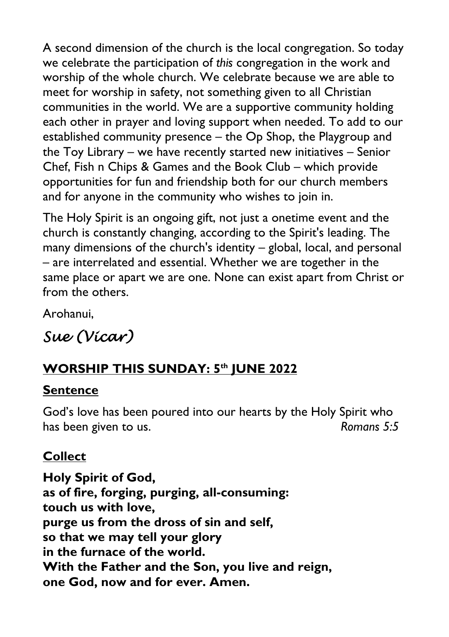A second dimension of the church is the local congregation. So today we celebrate the participation of *this* congregation in the work and worship of the whole church. We celebrate because we are able to meet for worship in safety, not something given to all Christian communities in the world. We are a supportive community holding each other in prayer and loving support when needed. To add to our established community presence – the Op Shop, the Playgroup and the Toy Library – we have recently started new initiatives – Senior Chef, Fish n Chips & Games and the Book Club – which provide opportunities for fun and friendship both for our church members and for anyone in the community who wishes to join in.

The Holy Spirit is an ongoing gift, not just a onetime event and the church is constantly changing, according to the Spirit's leading. The many dimensions of the church's identity – global, local, and personal – are interrelated and essential. Whether we are together in the same place or apart we are one. None can exist apart from Christ or from the others.

Arohanui,

## *Sue (Vicar)*

## **WORSHIP THIS SUNDAY: 5th JUNE 2022**

#### **Sentence**

God's love has been poured into our hearts by the Holy Spirit who has been given to us. *Romans* 5:5

#### **Collect**

**Holy Spirit of God, as of fire, forging, purging, all-consuming: touch us with love, purge us from the dross of sin and self, so that we may tell your glory in the furnace of the world. With the Father and the Son, you live and reign, one God, now and for ever. Amen.**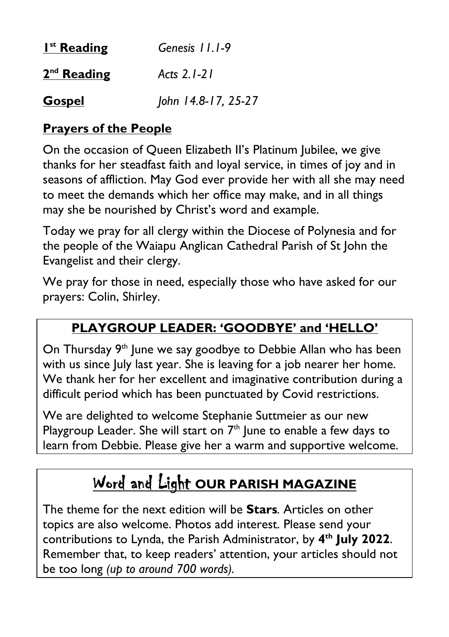| $Ist$ Reading | Genesis 11.1-9      |
|---------------|---------------------|
| $2nd$ Reading | Acts 2.1-21         |
| <b>Gospel</b> | John 14.8-17, 25-27 |

#### **Prayers of the People**

On the occasion of Queen Elizabeth II's Platinum Jubilee, we give thanks for her steadfast faith and loyal service, in times of joy and in seasons of affliction. May God ever provide her with all she may need to meet the demands which her office may make, and in all things may she be nourished by Christ's word and example.

Today we pray for all clergy within the Diocese of Polynesia and for the people of the Waiapu Anglican Cathedral Parish of St John the Evangelist and their clergy.

We pray for those in need, especially those who have asked for our prayers: Colin, Shirley.

#### **PLAYGROUP LEADER: 'GOODBYE' and 'HELLO'**

On Thursday 9<sup>th</sup> June we say goodbye to Debbie Allan who has been with us since July last year. She is leaving for a job nearer her home. We thank her for her excellent and imaginative contribution during a difficult period which has been punctuated by Covid restrictions.

We are delighted to welcome Stephanie Suttmeier as our new Playgroup Leader. She will start on  $7<sup>th</sup>$  June to enable a few days to learn from Debbie. Please give her a warm and supportive welcome.

# Word and Light **OUR PARISH MAGAZINE**

The theme for the next edition will be **Stars***.* Articles on other topics are also welcome. Photos add interest. Please send your contributions to Lynda, the Parish Administrator, by **4th July 2022**. Remember that, to keep readers' attention, your articles should not be too long *(up to around 700 words).*